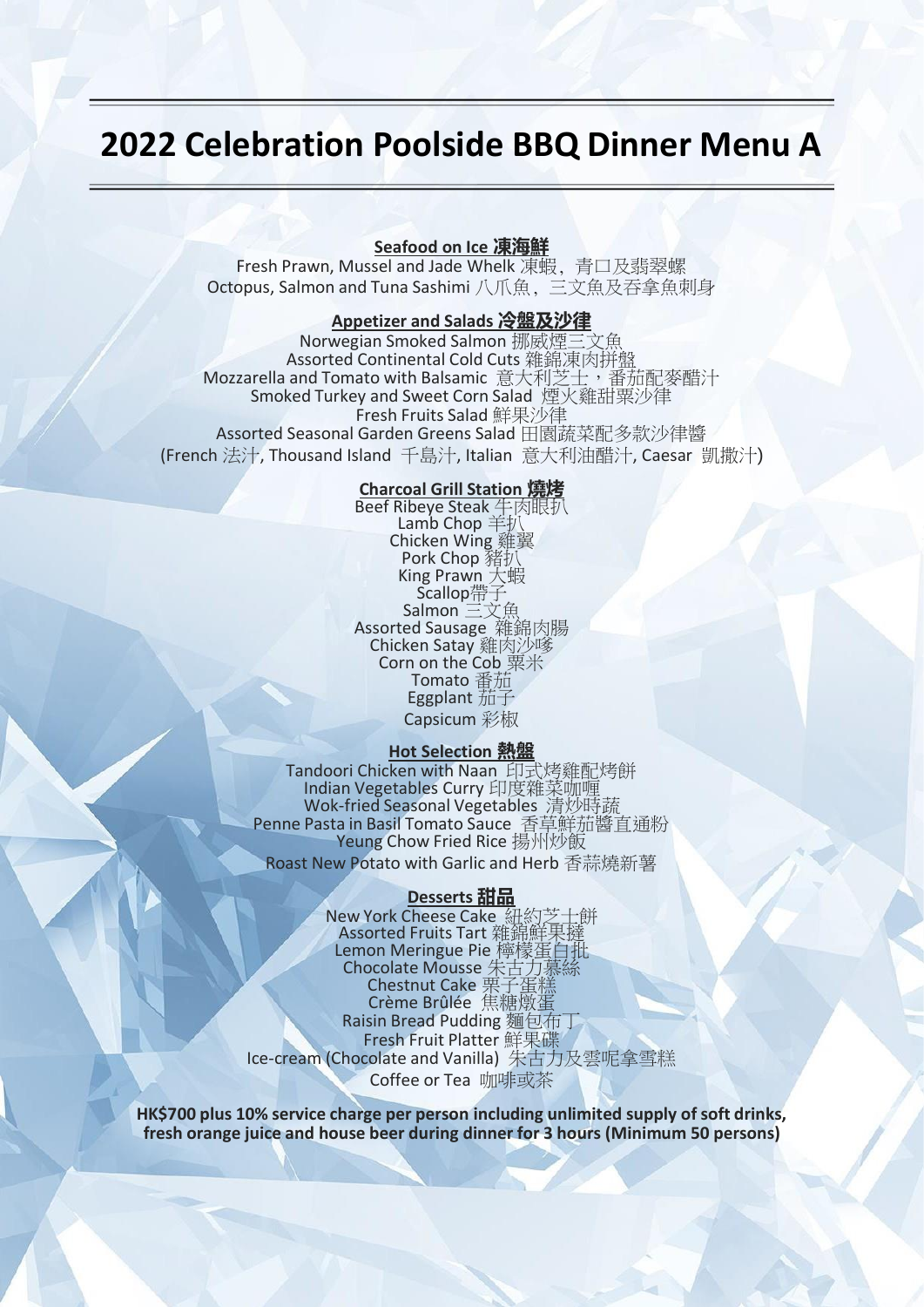# **2022 Celebration Poolside BBQ Dinner Menu A**

## **Seafood on Ice 凍海鮮**

Fresh Prawn, Mussel and Jade Whelk 凍蝦, 青口及翡翠螺 Octopus, Salmon and Tuna Sashimi 八爪魚, 三文魚及吞拿魚刺身

## **Appetizer and Salads 冷盤及沙律**

Norwegian Smoked Salmon 挪威煙三文魚 Assorted Continental Cold Cuts 雜錦凍肉拼盤 Mozzarella and Tomato with Balsamic 意大利芝士,番茄配麥醋汁 Smoked Turkey and Sweet Corn Salad 煙火雞甜粟沙律 Fresh Fruits Salad 鮮果沙律 Assorted Seasonal Garden Greens Salad 田園蔬菜配多款沙律醬 (French 法汁, Thousand Island 千島汁, Italian 意大利油醋汁, Caesar 凱撒汁)

## **Charcoal Grill Station 燒烤**

Beef Ribeye Steak 牛肉眼扒 Lamb Chop 羊扒 Chicken Wing 雞翼 Pork Chop 豬扒 King Prawn 大蝦 Scallop帶子 Salmon 三文魚 Assorted Sausage 雜錦肉腸 Chicken Satay 雞肉沙嗲 Corn on the Cob 粟米 Tomato 番茄 Eggplant 茄子 Capsicum 彩椒

#### **Hot Selection 熱盤**

Tandoori Chicken with Naan 印式烤雞配烤餅 Indian Vegetables Curry 印度雜菜咖喱 Wok-fried Seasonal Vegetables 清炒時蔬 Penne Pasta in Basil Tomato Sauce 香草鮮茄醬直通粉 Yeung Chow Fried Rice 揚州炒飯

Roast New Potato with Garlic and Herb 香蒜燒新薯

#### **Desserts 甜品**

New York Cheese Cake 紐約芝士餅 Assorted Fruits Tart 雜錦鮮果撻 Lemon Meringue Pie 檸檬蛋白批 Chocolate Mousse 朱古力慕絲 Chestnut Cake 栗子蛋糕 Crème Brûlée 焦糖燉蛋 Raisin Bread Pudding 麵包布丁 Fresh Fruit Platter 鮮果碟 Ice-cream (Chocolate and Vanilla) 朱古力及雲呢拿雪糕 Coffee or Tea 咖啡或茶

**HK\$700 plus 10% service charge per person including unlimited supply of soft drinks, fresh orange juice and house beer during dinner for 3 hours (Minimum 50 persons)**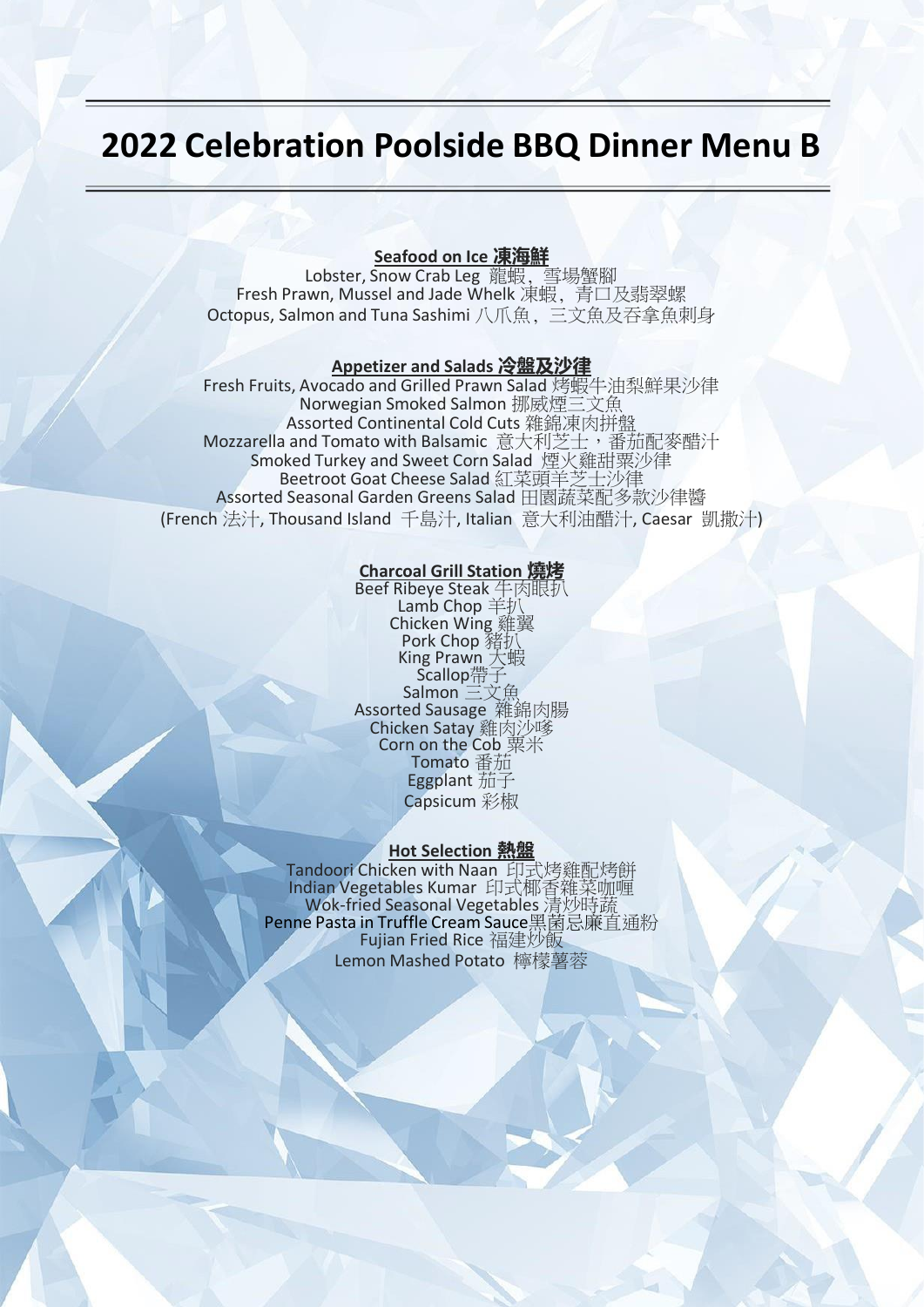# **2022 Celebration Poolside BBQ Dinner Menu B**

## **Seafood on Ice 凍海鮮**

Lobster, Snow Crab Leg 龍蝦, 雪場蟹腳 Fresh Prawn, Mussel and Jade Whelk 凍蝦, 青口及翡翠螺 Octopus, Salmon and Tuna Sashimi 八爪魚, 三文魚及吞拿魚刺身

#### **Appetizer and Salads 冷盤及沙律**

Fresh Fruits, Avocado and Grilled Prawn Salad 烤蝦牛油梨鮮果沙律 Norwegian Smoked Salmon 挪威煙三文魚 Assorted Continental Cold Cuts 雜錦凍肉拼盤 Mozzarella and Tomato with Balsamic 意大利芝士,番茄配麥醋汁 Smoked Turkey and Sweet Corn Salad 煙火雞甜粟沙律 Beetroot Goat Cheese Salad 紅菜頭羊芝士沙律 Assorted Seasonal Garden Greens Salad 田園蔬菜配多款沙律醬 (French 法汁, Thousand Island 千島汁, Italian 意大利油醋汁, Caesar 凱撒汁)

#### **Charcoal Grill Station 燒烤**

Beef Ribeye Steak 牛肉眼扒 Lamb Chop 羊扒 Chicken Wing 雞翼 Pork Chop 豬抄 King Prawn 大蝦 Scallop帶子 Salmon 三文魚 Assorted Sausage 雜錦肉腸 Chicken Satay 雞肉沙嗲 Corn on the Cob 粟米 Tomato 番茄 Eggplant 茄子 Capsicum 彩椒

#### **Hot Selection 熱盤**

Tandoori Chicken with Naan 印式烤雞配烤餅 Indian Vegetables Kumar 印式椰香雜菜咖喱 Wok-fried Seasonal Vegetables 清炒時蔬 Penne Pasta in Truffle Cream Sauce黑菌忌廉直通粉 Fujian Fried Rice 福建炒飯 Lemon Mashed Potato 檸檬薯蓉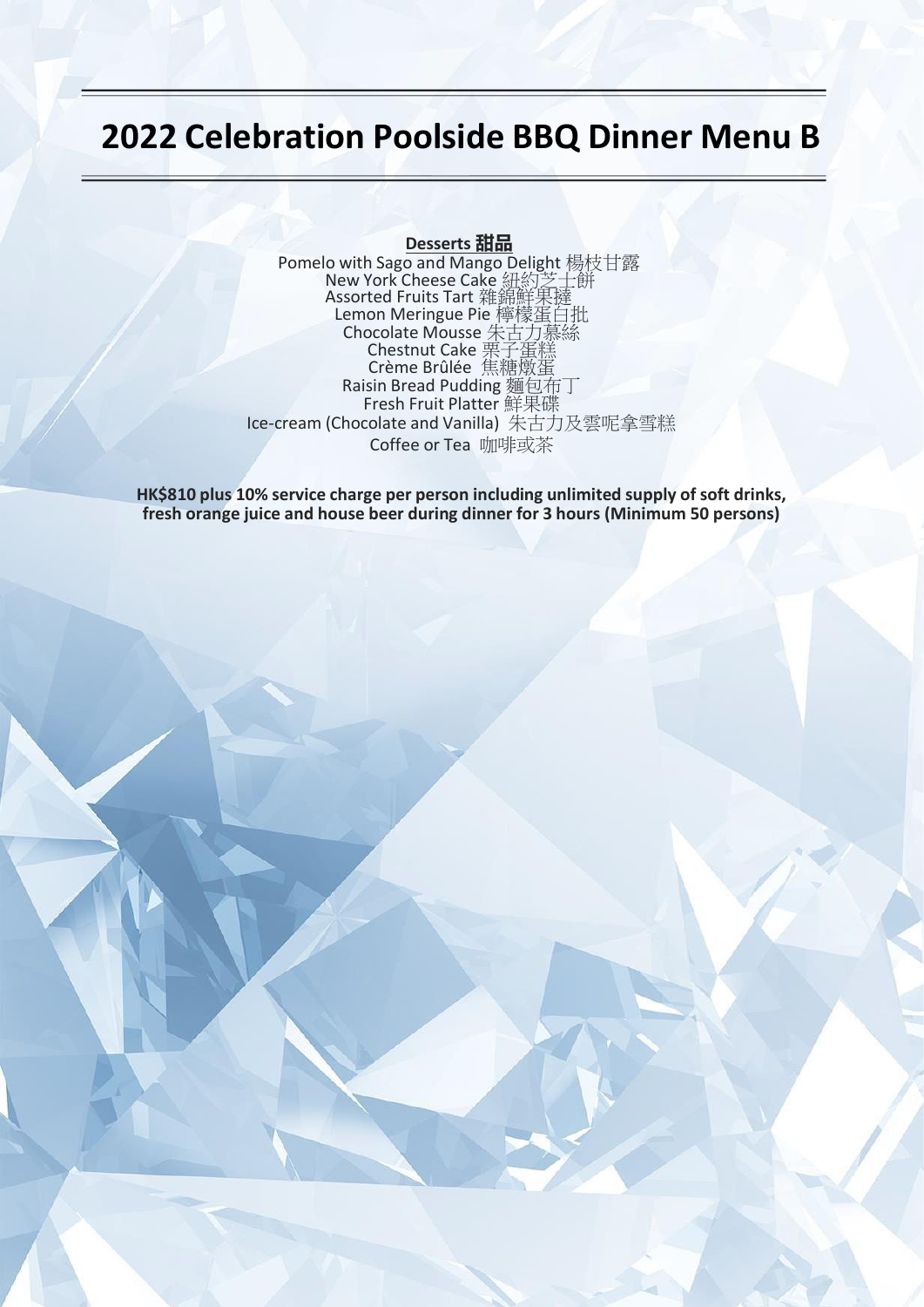# **2022 Celebration Poolside BBQ Dinner Menu B**

#### **Desserts 甜品**

Pomelo with Sago and Mango Delight 楊枝甘露 New York Cheese Cake 紐約芝士餅 Assorted Fruits Tart 雜錦鮮果撻 Lemon Meringue Pie 檸檬蛋白批 Chocolate Mousse 朱古力慕絲 Chestnut Cake 栗子蛋糕 Crème Brûlée 焦糖燉蛋 Raisin Bread Pudding 麵包布丁 Fresh Fruit Platter 鮮果碟 Ice-cream (Chocolate and Vanilla) 朱古力及雲呢拿雪糕 Coffee or Tea 咖啡或茶

**HK\$810 plus 10% service charge per person including unlimited supply of soft drinks, fresh orange juice and house beer during dinner for 3 hours (Minimum 50 persons)**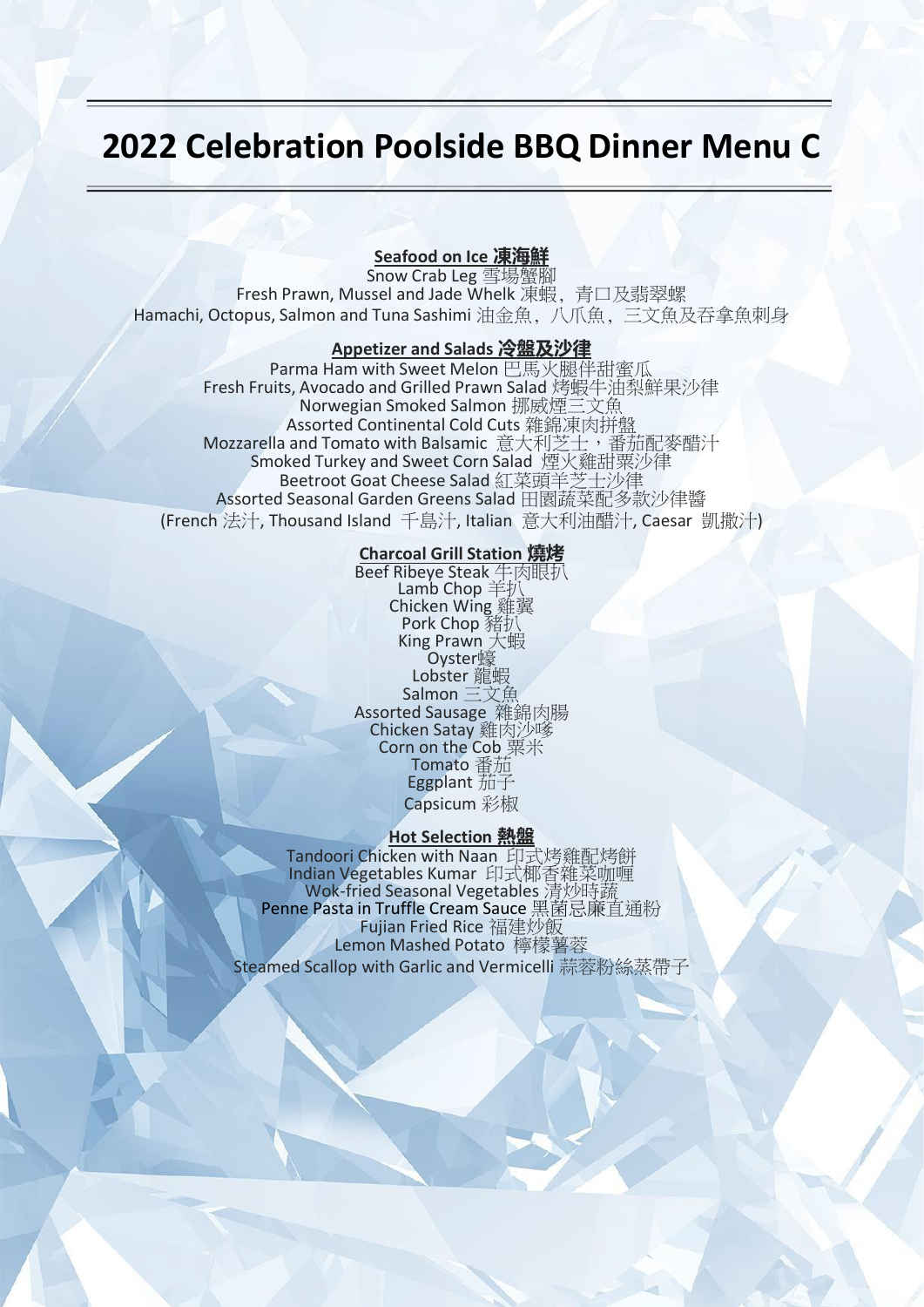# **2022 Celebration Poolside BBQ Dinner Menu C**

## **Seafood on Ice 凍海鮮**

Snow Crab Leg 雪場蟹腳 Fresh Prawn, Mussel and Jade Whelk 凍蝦, 青口及翡翠螺 Hamachi, Octopus, Salmon and Tuna Sashimi 油金魚, 八爪魚, 三文魚及吞拿魚刺身

### **Appetizer and Salads 冷盤及沙律**

Parma Ham with Sweet Melon 巴馬火腿伴甜蜜瓜 Fresh Fruits, Avocado and Grilled Prawn Salad 烤蝦牛油梨鮮果沙律 Norwegian Smoked Salmon 挪威煙三文魚 Assorted Continental Cold Cuts 雜錦凍肉拼盤 Mozzarella and Tomato with Balsamic 意大利芝士,番茄配麥醋汁 Smoked Turkey and Sweet Corn Salad 煙火雞甜粟沙律 Beetroot Goat Cheese Salad 紅菜頭羊芝士沙律 Assorted Seasonal Garden Greens Salad 田園蔬菜配多款沙律醬 (French 法汁, Thousand Island 千島汁, Italian 意大利油醋汁, Caesar 凱撒汁)

## **Charcoal Grill Station 燒烤**

Beef Ribeye Steak 牛肉眼扒 Lamb Chop 羊扒 Chicken Wing 雞翼 Pork Chop 豬打 King Prawn 大蝦 Oyster蠔 Lobster 龍蝦 Salmon 三文魚 Assorted Sausage 雜錦肉腸 Chicken Satay 雞肉沙嗲 Corn on the Cob 粟米 Tomato 番茄 Eggplant 茄子 Capsicum 彩椒

#### **Hot Selection 熱盤**

Tandoori Chicken with Naan 印式烤雞配烤餅 Indian Vegetables Kumar 印式椰香雜菜咖喱 Wok-fried Seasonal Vegetables 清炒時蔬 Penne Pasta in Truffle Cream Sauce 黑菌忌廉直通粉 **Fujian Fried Rice 福建炒飯** Lemon Mashed Potato 檸檬薯蓉 Steamed Scallop with Garlic and Vermicelli 蒜蓉粉絲蒸帶子